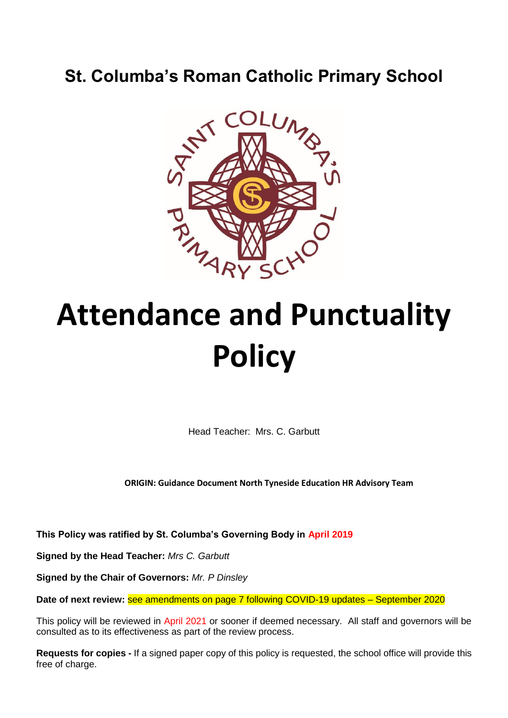# **St. Columba's Roman Catholic Primary School**



# **Attendance and Punctuality Policy**

Head Teacher: Mrs. C. Garbutt

**ORIGIN: Guidance Document North Tyneside Education HR Advisory Team**

**This Policy was ratified by St. Columba's Governing Body in April 2019**

**Signed by the Head Teacher:** *Mrs C. Garbutt*

**Signed by the Chair of Governors:** *Mr. P Dinsley*

**Date of next review:** see amendments on page 7 following COVID-19 updates – September 2020

This policy will be reviewed in April 2021 or sooner if deemed necessary. All staff and governors will be consulted as to its effectiveness as part of the review process.

**Requests for copies -** If a signed paper copy of this policy is requested, the school office will provide this free of charge.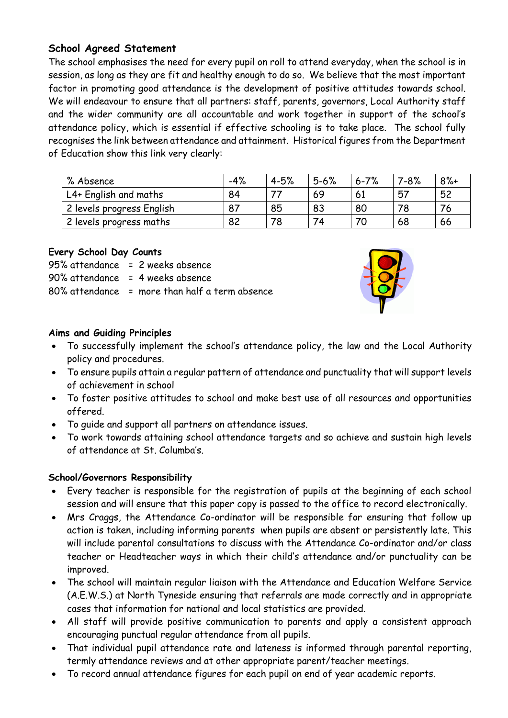# **School Agreed Statement**

The school emphasises the need for every pupil on roll to attend everyday, when the school is in session, as long as they are fit and healthy enough to do so. We believe that the most important factor in promoting good attendance is the development of positive attitudes towards school. We will endeavour to ensure that all partners: staff, parents, governors, Local Authority staff and the wider community are all accountable and work together in support of the school's attendance policy, which is essential if effective schooling is to take place. The school fully recognises the link between attendance and attainment. Historical figures from the Department of Education show this link very clearly:

| % Absence                 | $-4%$ | $4 - 5%$ | $5 - 6%$ | $6 - 7%$ | $7 - 8%$ | $8% +$ |
|---------------------------|-------|----------|----------|----------|----------|--------|
| L4+ English and maths     | 84    |          | 69       | 61       | 57       | 52     |
| 2 levels progress English | 87    | 85       | 83       | 80       |          |        |
| 2 levels progress maths   | 82    |          | 74       |          | 68       | 66     |

# **Every School Day Counts**

| 95% attendance = 2 weeks absence               |
|------------------------------------------------|
| 90% attendance = 4 weeks absence               |
| 80% attendance = more than half a term absence |



### **Aims and Guiding Principles**

- To successfully implement the school's attendance policy, the law and the Local Authority policy and procedures.
- To ensure pupils attain a regular pattern of attendance and punctuality that will support levels of achievement in school
- To foster positive attitudes to school and make best use of all resources and opportunities offered.
- To guide and support all partners on attendance issues.
- To work towards attaining school attendance targets and so achieve and sustain high levels of attendance at St. Columba's.

# **School/Governors Responsibility**

- Every teacher is responsible for the registration of pupils at the beginning of each school session and will ensure that this paper copy is passed to the office to record electronically.
- Mrs Craggs, the Attendance Co-ordinator will be responsible for ensuring that follow up action is taken, including informing parents when pupils are absent or persistently late. This will include parental consultations to discuss with the Attendance Co-ordinator and/or class teacher or Headteacher ways in which their child's attendance and/or punctuality can be improved.
- The school will maintain regular liaison with the Attendance and Education Welfare Service (A.E.W.S.) at North Tyneside ensuring that referrals are made correctly and in appropriate cases that information for national and local statistics are provided.
- All staff will provide positive communication to parents and apply a consistent approach encouraging punctual regular attendance from all pupils.
- That individual pupil attendance rate and lateness is informed through parental reporting, termly attendance reviews and at other appropriate parent/teacher meetings.
- To record annual attendance figures for each pupil on end of year academic reports.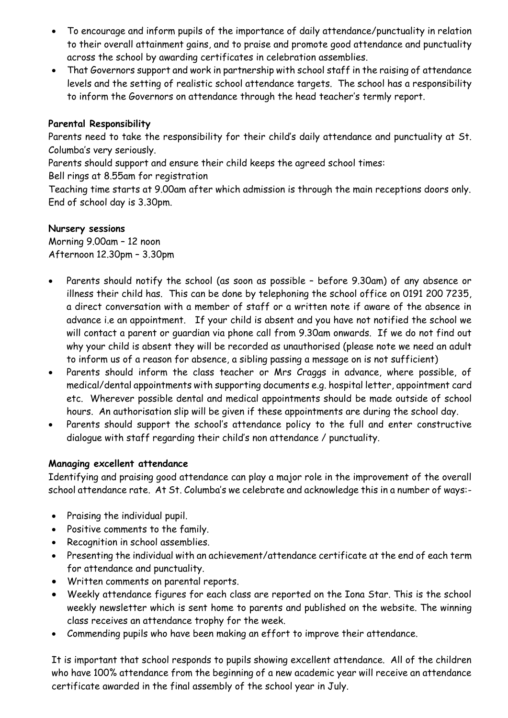- To encourage and inform pupils of the importance of daily attendance/punctuality in relation to their overall attainment gains, and to praise and promote good attendance and punctuality across the school by awarding certificates in celebration assemblies.
- That Governors support and work in partnership with school staff in the raising of attendance levels and the setting of realistic school attendance targets. The school has a responsibility to inform the Governors on attendance through the head teacher's termly report.

# **Parental Responsibility**

Parents need to take the responsibility for their child's daily attendance and punctuality at St. Columba's very seriously.

Parents should support and ensure their child keeps the agreed school times:

Bell rings at 8.55am for registration

Teaching time starts at 9.00am after which admission is through the main receptions doors only. End of school day is 3.30pm.

#### **Nursery sessions**

Morning 9.00am – 12 noon Afternoon 12.30pm – 3.30pm

- Parents should notify the school (as soon as possible before 9.30am) of any absence or illness their child has. This can be done by telephoning the school office on 0191 200 7235, a direct conversation with a member of staff or a written note if aware of the absence in advance i.e an appointment. If your child is absent and you have not notified the school we will contact a parent or guardian via phone call from 9.30am onwards. If we do not find out why your child is absent they will be recorded as unauthorised (please note we need an adult to inform us of a reason for absence, a sibling passing a message on is not sufficient)
- Parents should inform the class teacher or Mrs Craggs in advance, where possible, of medical/dental appointments with supporting documents e.g. hospital letter, appointment card etc. Wherever possible dental and medical appointments should be made outside of school hours. An authorisation slip will be given if these appointments are during the school day.
- Parents should support the school's attendance policy to the full and enter constructive dialogue with staff regarding their child's non attendance / punctuality.

#### **Managing excellent attendance**

Identifying and praising good attendance can play a major role in the improvement of the overall school attendance rate. At St. Columba's we celebrate and acknowledge this in a number of ways:-

- Praising the individual pupil.
- Positive comments to the family.
- Recognition in school assemblies.
- Presenting the individual with an achievement/attendance certificate at the end of each term for attendance and punctuality.
- Written comments on parental reports.
- Weekly attendance figures for each class are reported on the Iona Star. This is the school weekly newsletter which is sent home to parents and published on the website. The winning class receives an attendance trophy for the week.
- Commending pupils who have been making an effort to improve their attendance.

It is important that school responds to pupils showing excellent attendance. All of the children who have 100% attendance from the beginning of a new academic year will receive an attendance certificate awarded in the final assembly of the school year in July.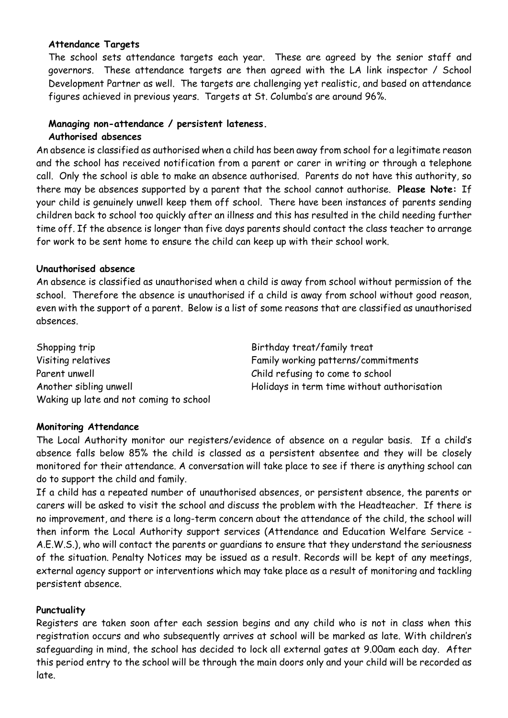#### **Attendance Targets**

The school sets attendance targets each year. These are agreed by the senior staff and governors. These attendance targets are then agreed with the LA link inspector / School Development Partner as well. The targets are challenging yet realistic, and based on attendance figures achieved in previous years. Targets at St. Columba's are around 96%.

#### **Managing non-attendance / persistent lateness. Authorised absences**

An absence is classified as authorised when a child has been away from school for a legitimate reason and the school has received notification from a parent or carer in writing or through a telephone call. Only the school is able to make an absence authorised. Parents do not have this authority, so there may be absences supported by a parent that the school cannot authorise. **Please Note:** If your child is genuinely unwell keep them off school. There have been instances of parents sending children back to school too quickly after an illness and this has resulted in the child needing further time off. If the absence is longer than five days parents should contact the class teacher to arrange for work to be sent home to ensure the child can keep up with their school work.

#### **Unauthorised absence**

An absence is classified as unauthorised when a child is away from school without permission of the school. Therefore the absence is unauthorised if a child is away from school without good reason, even with the support of a parent. Below is a list of some reasons that are classified as unauthorised absences.

Shopping trip Shopping trip Birthday treat/family treat Visiting relatives Family working patterns/commitments Parent unwell extending to come to school child refusing to come to school Waking up late and not coming to school

Another sibling unwell **Another similar and the University of the University** Holidays in term time without authorisation

#### **Monitoring Attendance**

The Local Authority monitor our registers/evidence of absence on a regular basis. If a child's absence falls below 85% the child is classed as a persistent absentee and they will be closely monitored for their attendance. A conversation will take place to see if there is anything school can do to support the child and family.

If a child has a repeated number of unauthorised absences, or persistent absence, the parents or carers will be asked to visit the school and discuss the problem with the Headteacher. If there is no improvement, and there is a long-term concern about the attendance of the child, the school will then inform the Local Authority support services (Attendance and Education Welfare Service - A.E.W.S.), who will contact the parents or guardians to ensure that they understand the seriousness of the situation. Penalty Notices may be issued as a result. Records will be kept of any meetings, external agency support or interventions which may take place as a result of monitoring and tackling persistent absence.

#### **Punctuality**

Registers are taken soon after each session begins and any child who is not in class when this registration occurs and who subsequently arrives at school will be marked as late. With children's safeguarding in mind, the school has decided to lock all external gates at 9.00am each day. After this period entry to the school will be through the main doors only and your child will be recorded as late.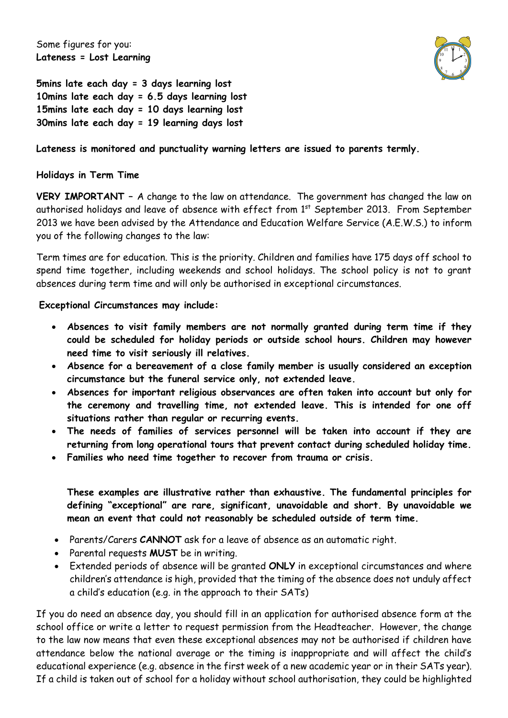Some figures for you: **Lateness = Lost Learning**



**5mins late each day = 3 days learning lost 10mins late each day = 6.5 days learning lost 15mins late each day = 10 days learning lost 30mins late each day = 19 learning days lost**

# **Lateness is monitored and punctuality warning letters are issued to parents termly.**

#### **Holidays in Term Time**

**VERY IMPORTANT –** A change to the law on attendance. The government has changed the law on authorised holidays and leave of absence with effect from 1<sup>st</sup> September 2013. From September 2013 we have been advised by the Attendance and Education Welfare Service (A.E.W.S.) to inform you of the following changes to the law:

Term times are for education. This is the priority. Children and families have 175 days off school to spend time together, including weekends and school holidays. The school policy is not to grant absences during term time and will only be authorised in exceptional circumstances.

**Exceptional Circumstances may include:**

- **Absences to visit family members are not normally granted during term time if they could be scheduled for holiday periods or outside school hours. Children may however need time to visit seriously ill relatives.**
- **Absence for a bereavement of a close family member is usually considered an exception circumstance but the funeral service only, not extended leave.**
- **Absences for important religious observances are often taken into account but only for the ceremony and travelling time, not extended leave. This is intended for one off situations rather than regular or recurring events.**
- **The needs of families of services personnel will be taken into account if they are returning from long operational tours that prevent contact during scheduled holiday time.**
- **Families who need time together to recover from trauma or crisis.**

**These examples are illustrative rather than exhaustive. The fundamental principles for defining "exceptional" are rare, significant, unavoidable and short. By unavoidable we mean an event that could not reasonably be scheduled outside of term time.**

- Parents/Carers **CANNOT** ask for a leave of absence as an automatic right.
- Parental requests **MUST** be in writing.
- Extended periods of absence will be granted **ONLY** in exceptional circumstances and where children's attendance is high, provided that the timing of the absence does not unduly affect a child's education (e.g. in the approach to their SATs)

If you do need an absence day, you should fill in an application for authorised absence form at the school office or write a letter to request permission from the Headteacher. However, the change to the law now means that even these exceptional absences may not be authorised if children have attendance below the national average or the timing is inappropriate and will affect the child's educational experience (e.g. absence in the first week of a new academic year or in their SATs year). If a child is taken out of school for a holiday without school authorisation, they could be highlighted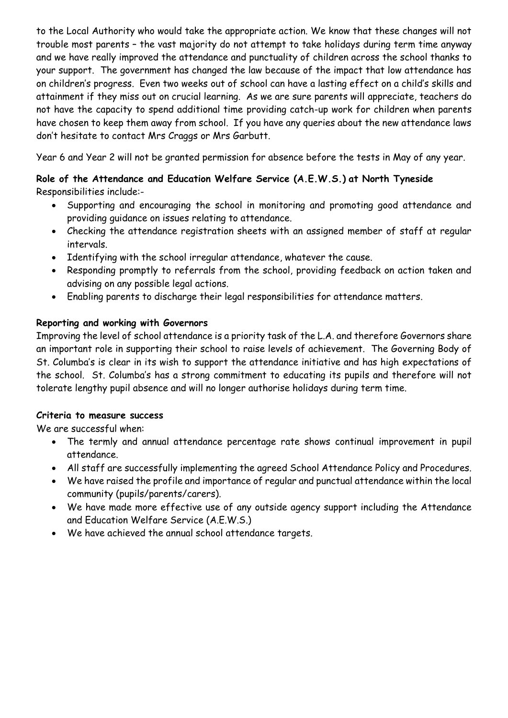to the Local Authority who would take the appropriate action. We know that these changes will not trouble most parents – the vast majority do not attempt to take holidays during term time anyway and we have really improved the attendance and punctuality of children across the school thanks to your support. The government has changed the law because of the impact that low attendance has on children's progress. Even two weeks out of school can have a lasting effect on a child's skills and attainment if they miss out on crucial learning. As we are sure parents will appreciate, teachers do not have the capacity to spend additional time providing catch-up work for children when parents have chosen to keep them away from school. If you have any queries about the new attendance laws don't hesitate to contact Mrs Craggs or Mrs Garbutt.

Year 6 and Year 2 will not be granted permission for absence before the tests in May of any year.

# **Role of the Attendance and Education Welfare Service (A.E.W.S.) at North Tyneside** Responsibilities include:-

- Supporting and encouraging the school in monitoring and promoting good attendance and providing guidance on issues relating to attendance.
- Checking the attendance registration sheets with an assigned member of staff at regular intervals.
- Identifying with the school irregular attendance, whatever the cause.
- Responding promptly to referrals from the school, providing feedback on action taken and advising on any possible legal actions.
- Enabling parents to discharge their legal responsibilities for attendance matters.

# **Reporting and working with Governors**

Improving the level of school attendance is a priority task of the L.A. and therefore Governors share an important role in supporting their school to raise levels of achievement. The Governing Body of St. Columba's is clear in its wish to support the attendance initiative and has high expectations of the school. St. Columba's has a strong commitment to educating its pupils and therefore will not tolerate lengthy pupil absence and will no longer authorise holidays during term time.

# **Criteria to measure success**

We are successful when:

- The termly and annual attendance percentage rate shows continual improvement in pupil attendance.
- All staff are successfully implementing the agreed School Attendance Policy and Procedures.
- We have raised the profile and importance of regular and punctual attendance within the local community (pupils/parents/carers).
- We have made more effective use of any outside agency support including the Attendance and Education Welfare Service (A.E.W.S.)
- We have achieved the annual school attendance targets.